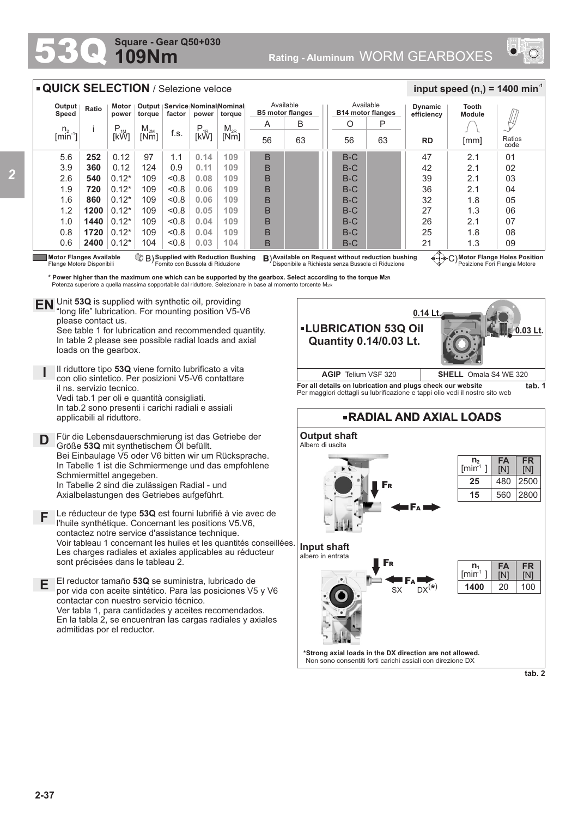## **109Nm Square - Gear Q50+030**



## 5.6 3.9 2.6 1.9 1.6 1.2 1.0 0.8 0.6 **252 360 540 720 860 1200 1440 1720 2400** n.  $[min^{-1}]$ i P<br>[kW]  $M_{2M}$ <br>Mml  $\begin{array}{c|c|c|c} \mathsf{M}_{\mathsf{2M}} & \mathsf{f.s.} & \mathsf{P}_{\mathsf{1R}} & \mathsf{M}_{\mathsf{2R}} \ \hline \mathsf{[Nm]} & \mathsf{[KW]} & \mathsf{[KW]} \end{array}$ **Output Speed Ratio Motor power Output torque Service Nominal Nominal factor power torque QUICK SELECTION** / Selezione veloce Available **B5 motor flanges RD Dynamic efficiency** 47 42 39 36 32 27 26 25 21 2.1 2.1 2.1 2.1 1.8 1.3 2.1 1.8 1.3 Ratios code **Tooth Module**  $\frac{1}{2}$  **input speed (n**<sub>1</sub>) = 1400 min<sup>-1</sup> Available **B14 motor flanges** P 63 O 56 B B B B B B B B B B 63 A 56 B-C B-C  $B-C$  $B-C$  $B-C$  $B-C$  $B-C$  $B-C$ B-C 0.12 0.12 0.12\*  $0.12*$ 0.12\* 0.12\* 0.12\*  $0.12*$ 0.12\* 97 124 109 109 109 109 109 109 104 1.1 0.9  $< 0.8$  $< 0.8$  $< 0.8$  $< 0.8$  $< 0.8$  $< 0.8$  $< 0.8$ [mm] **0.14 0.11 0.08 0.06 0.06 0.05 0.04 0.04 0.03 109 109 109 109 109 109 109 109 104**

Flange Motore Disponibili

**Supplied with Reduction Bushing** Fornito con Bussola di Riduzione B) **B**)

**Motor Flanges Available ③ B) Supplied with Reduction Bushing B)Available on Request without reduction bushing ④……<br>Flange Motore Disponibili Fornito con Bussola di Riduzione Disponibile a Richiesta senza Bu** 

**Motor Flange Holes Position** Posizione Fori Flangia Motore

**\* Power higher than the maximum one which can be supported by the gearbox. Select according to the torque M2R** Potenza superiore a quella massima sopportabile dal riduttore. Selezionare in base al momento torcente M<sub>2</sub>

Unit **53Q** is supplied with synthetic oil, providing **EN** Unit 53Q is supplied with synthetic oil, providing<br>"long life" lubrication. For mounting position V5-V6 please contact us.

See table 1 for lubrication and recommended quantity. In table 2 please see possible radial loads and axial loads on the gearbox.

**I** Il riduttore tipo **53Q** viene fornito lubrificato a vita con olio sintetico. Per posizioni V5-V6 contattare il ns. servizio tecnico. Vedi tab.1 per oli e quantità consigliati. In tab.2 sono presenti i carichi radiali e assiali applicabili al riduttore.

**D** Für die Lebensdauerschmierung ist das Getriebe der<br>
Größe 530 mit synthetischem Öl befüllt Größe **53Q** mit synthetischem Öl befüllt. Bei Einbaulage V5 oder V6 bitten wir um Rücksprache. In Tabelle 1 ist die Schmiermenge und das empfohlene Schmiermittel angegeben. In Tabelle 2 sind die zulässigen Radial - und Axialbelastungen des Getriebes aufgeführt.

**F** Le réducteur de type **53Q** est fourni lubrifié à vie avec de l'huile synthétique. Concernant les positions V5.V6, contactez notre service d'assistance technique. Voir tableau 1 concernant les huiles et les quantités conseillées. Les charges radiales et axiales applicables au réducteur sont précisées dans le tableau 2.

**E** El reductor tamaño **53Q** se suministra, lubricado de por vida con aceite sintético. Para las posiciones V5 y V6 contactar con nuestro servicio técnico. Ver tabla 1, para cantidades y aceites recomendados. En la tabla 2, se encuentran las cargas radiales y axiales admitidas por el reductor.



**For all details on lubrication and plugs check our website tab. 1** Per maggiori dettagli su lubrificazione e tappi olio vedi il nostro sito web



**tab. 2**